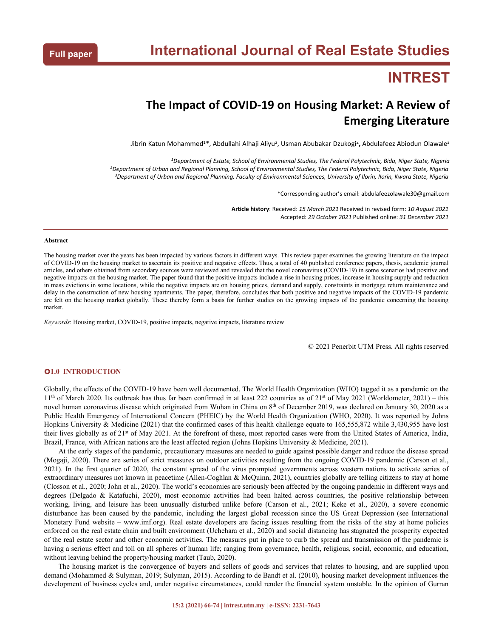# **INTREST**

## **The Impact of COVID-19 on Housing Market: A Review of Emerging Literature**

Jibrin Katun Mohammed<sup>1\*</sup>, Abdullahi Alhaji Aliyu<sup>2</sup>, Usman Abubakar Dzukogi<sup>2</sup>, Abdulafeez Abiodun Olawale<sup>3</sup> 3

*<sup>1</sup>Department of Estate, School of Environmental Studies, The Federal Polytechnic, Bida, Niger State, Nigeria* <sup>2</sup>Department of Urban and Regional Planning, School of Environmental Studies, The Federal Polytechnic, Bida, Niger State, Nigeria <sup>3</sup>Department of Urban and Regional Planning, Faculty of Environmental Sciences, University of Ilorin, Ilorin, Kwara State, Nigeria

\*Corresponding author's email: abdulafeezolawale30@gmail.com

**Article history**: Received: *15 March 2021* Received in revised form: *10 August 2021* Accepted: *29 October 2021* Published online: *31 December 2021*

#### **Abstract**

The housing market over the years has been impacted by various factors in different ways. This review paper examines the growing literature on the impact of COVID-19 on the housing market to ascertain its positive and negative effects. Thus, a total of 40 published conference papers, thesis, academic journal articles, and others obtained from secondary sources were reviewed negative impacts on the housing market. The paper found that the positive impacts include a rise in housing prices, increase in housing supply and reduction in mass evictions in some locations, while the negative impacts are on housing prices, demand and supply, constraints in mortgage return maintenance and delay in the construction of new housing apartments. The paper, therefore, concludes that both positive and negative impacts of the COVID-19 pandemic are felt on the housing market globally. These thereby form a basis for further studies on the growing impacts of the pandemic concerning the housing market.

*Keywords*: Housing market, COVID-19, positive impacts, negative impacts, literature review

© 2021 Penerbit UTM Press. All rights reserved

#### **1.0 INTRODUCTION**

Globally, the effects of the COVID-19 have been well documented. The World Health Organization (WHO) tagged it as a pandemic on the 1<sup>th</sup> of March 2020. Its outbreak has thus far been confirmed in at least 222 countries as of 2<sup>1st</sup> of May 2021 (Worldometer, 2021) – this novel human coronavirus disease which originated from Wuhan in China on 8<sup>th</sup> of December 2019, was declared on January 30, 2020 as a Public Health Emergency of International Concern (PHEIC) by the World Health Organization (WHO, 2020). It was reported by Johns Hopkins University & Medicine (2021) that the confirmed cases of this health challenge equate to 165,555,872 while 3,430,955 have lost their lives globally as of 21<sup>st</sup> of May 2021. At the forefront of these, most reported cases were from the United States of America, India, Brazil, France, with African nations are the least affected region (Johns Hopkins University & Medicine, 2021).

At the early stages ofthe pandemic, precautionary measures are needed to guide against possible danger and reduce the disease spread (Mogaji, 2020). There are series of strict measures on outdoor activities resulting from the ongoing COVID-19 pandemic (Carson et al., 2021). In the first quarter of 2020, the constant spread of the virus prompted governments across western nations to activate series of extraordinary measures not known in peacetime (Allen-Coghlan & McQuinn, 2021), countries globally are telling citizens to stay at home (Closson et al., 2020; John et al., 2020). The world's economies are seriously been affected by the ongoing pandemic in different ways and degrees (Delgado & Katafuchi, 2020), most economic activities had been halted across countries, the positive relationship between working, living, and leisure has been unusually disturbed unlike before (Carson et al., 2021; Keke et al., 2020), a severe economic disturbance has been caused by the pandemic, including the largest global recession since the US Great Depression (see International Monetary Fund website – www.imf.org). Real estate developers are facing issues resulting from the risks of the stay at home policies enforced on the real estate chain and built environment (Uchehara et al., 2020) and social distancing has stagnated the prosperity expected of the real estate sector and other economic activities. The measures put in place to curb the spread and transmission of the pandemic is<br>having a serious effect and toll on all spheres of human life; ranging from governan without leaving behind the property/housing market (Taub, 2020).

The housing market is the convergence of buyers and sellers of goods and services that relates to housing, and are supplied upon demand (Mohammed & Sulyman, 2019; Sulyman, 2015). According to de Bandt et al. (2010), housing market development influences the development of business cycles and, under negative circumstances, could render the financial system unstable. In the opinion of Gurran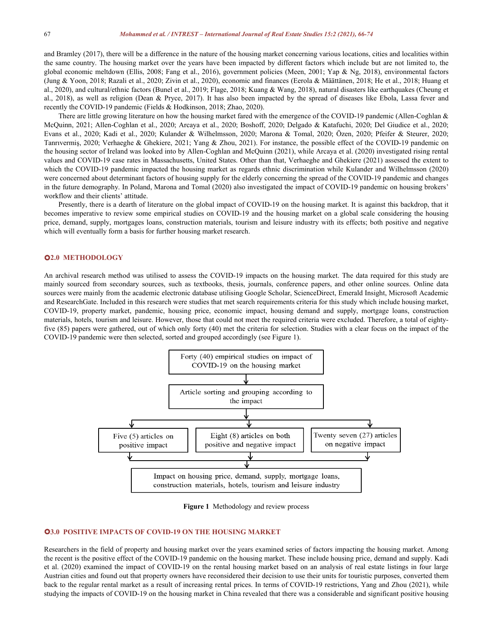and Bramley (2017), there will be a difference in the nature of the housing market concerning various locations, cities and localities within the same country.The housing market over the years have been impacted by different factors which include but are not limited to, the global economic meltdown (Ellis, 2008; Fang et al., 2016), government policies (Meen, 2001; Yap & Ng, 2018), environmental factors (Jung & Yoon, 2018; Razali et al., 2020; Zivin et al., 2020), economic and finances (Eerola & Määttänen, 2018; He et al., 2018; Huang et al., 2020), and cultural/ethnic factors (Bunel et al., 2019; Flage, 2018; Kuang & Wang, 2018), natural disasters like earthquakes (Cheung et al., 2018), as wellas religion (Dean & Pryce, 2017). It has also been impacted by the spread of diseases like Ebola, Lassa fever and recently the COVID-19 pandemic (Fields & Hodkinson, 2018; Zhao, 2020).

There are little growing literature on how the housing market fared with the emergence of the COVID-19 pandemic (Allen-Coghlan & McQuinn, 2021; Allen-Coghlan et al., 2020; Arcaya et al., 2020; Boshoff, 2020; Delgado & Katafuchi, 2020; Del Giudice et al., 2020; Evans et al., 2020; Kadi et al., 2020; Kulander & Wilhelmsson, 2020; Marona & Tomal, 2020; Özen, 2020; Pfeifer & Steurer, 2020; Tanrıvermiş, 2020; Verhaeghe & Ghekiere, 2021; Yang & Zhou, 2021). For instance, the possible effect of the COVID-19 pandemic on the housing sector of Ireland was looked into by Allen-Coghlan and McQuinn (2021), while Arcaya et al. (2020) investigated rising rental values and COVID-19 case rates in Massachusetts, United States. Other than that, Verhaeghe and Ghekiere (2021) assessed the extent to which the COVID-19 pandemic impacted the housing market as regards ethnic discrimination while Kulander and Wilhelmsson (2020) were concerned about determinant factors of housing supply for the elderly concerning the spread of the COVID-19 pandemic and changes in the future demography. In Poland, Marona and Tomal (2020) also investigated the impact of COVID-19 pandemic on housing brokers' workflow and their clients' attitude.

Presently, there is a dearth of literature on the global impact of COVID-19 on the housing market. It is against this backdrop, that it becomes imperative to review some empirical studies on COVID-19 and the housing market on a global scale considering the housing price, demand, supply, mortgages loans, construction materials, tourism and leisure industry with its effects; both positive and negative which will eventually form a basis for further housing market research.

#### **2.0 METHODOLOGY**

An archival research method was utilised to assess the COVID-19 impacts on the housing market. The data required for this study are mainly sourced from secondary sources, such as textbooks, thesis, journals, conference papers, and other online sources. Online data sources were mainly from the academic electronic database utilising Google Scholar, ScienceDirect, Emerald Insight, Microsoft Academic and ResearchGate. Included in this research were studies that met search requirements criteria for this study which include housing market, COVID-19, property market, pandemic, housing price, economic impact, housing demand and supply, mortgage loans, construction materials, hotels, tourism and leisure. However, those that could not meet the required criteria were excluded. Therefore, a total of eightyfive (85) papers were gathered, out of which only forty (40) met the criteria for selection. Studies with a clear focus on the impact of the COVID-19 pandemic were then selected, sorted and grouped accordingly (see Figure 1).



**Figure 1** Methodology and review process

#### **3.0 POSITIVE IMPACTS OF COVID-19 ON THE HOUSING MARKET**

Researchers in the field of property and housing market over the years examined series of factors impacting the housing market. Among the recent is the positive effect of the COVID-19 pandemic on the housing market. These include housing price, demand and supply. Kadi et al. (2020) examined the impact of COVID-19 on the rental housing market based on an analysis of real estate listings in four large Austrian cities and found out that property owners have reconsidered their decision to use their units for touristic purposes, converted them back to the regular rental market as a result of increasing rental prices. In terms of COVID-19 restrictions, Yang and Zhou (2021), while studying the impacts of COVID-19 on the housing market in China revealed that there was a considerable and significant positive housing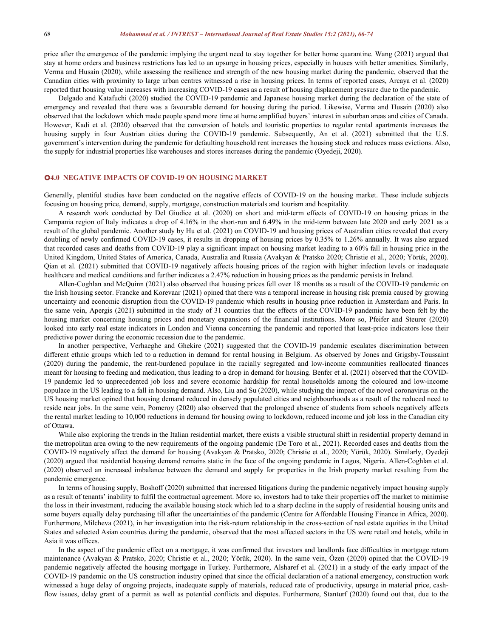price after the emergence of the pandemic implying the urgent need to stay together for better home quarantine. Wang (2021) argued that stay at home orders and business restrictions has led to an upsurge in housing prices, especially in houses with better amenities. Similarly, Verma and Husain (2020), while assessing the resilience and strength of the new housing market during the pandemic, observed that the Canadian cities with proximity to large urban centres witnessed a rise in housing prices. In terms of reported cases, Arcaya et al. (2020) reported that housing value increases with increasing COVID-19 cases as a result of housing displacement pressure due to the pandemic.

Delgado and Katafuchi (2020) studied the COVID-19 pandemic and Japanese housing market during the declaration of the state of emergency and revealed that there was a favourable demand for housing during the period. Likewise, Verma and Husain (2020) also observed that the lockdown which made people spend more time at home amplified buyers'interest in suburban areas and cities ofCanada. However, Kadi et al. (2020) observed that the conversion of hotels and touristic properties to regular rental apartments increases the housing supply in four Austrian cities during the COVID-19 pandemic. Subsequently, An et al. (2021) submitted that the U.S. government's intervention during the pandemic for defaulting household rent increases the housing stock and reduces mass evictions. Also, the supply for industrial properties like warehouses and stores increases during the pandemic (Oyedeji, 2020).

#### **4.0 NEGATIVE IMPACTS OF COVID-19 ON HOUSING MARKET**

Generally, plentiful studies have been conducted on the negative effects of COVID-19 on the housing market. These include subjects focusing on housing price, demand, supply, mortgage, construction materials and tourism and hospitality.

A research work conducted by Del Giudice et al. (2020) on short and mid-term effects of COVID-19 on housing prices in the Campania region of Italy indicates a drop of 4.16% in the short-run and 6.49% in the mid-term between late 2020 and early 2021 as a result of the global pandemic. Another study by Hu et al. (2021) on COVID-19 and housing prices of Australian cities revealed that every doubling of newly confirmed COVID-19 cases, it results in dropping of housing prices by 0.35% to 1.26% annually. It was also argued that recorded cases and deaths from COVID-19 play a significant impact on housing market leading to a 60% fall in housing price in the United Kingdom, United States of America, Canada, Australia and Russia (Avakyan & Pratsko 2020; Christie et al., 2020; Yörük, 2020). Qian et al. (2021) submitted that COVID-19 negatively affects housing prices of the region with higher infection levels or inadequate healthcare and medical conditions and further indicates a 2.47% reduction in housing prices as the pandemic persists in Ireland.

Allen-Coghlan and McQuinn (2021) also observed that housing prices fellover 18 months as a result of the COVID-19 pandemic on the Irish housing sector. Francke and Korevaar (2021) opined that there was a temporal increase in housing risk premia caused by growing uncertainty and economic disruption from the COVID-19 pandemic which results in housing price reduction in Amsterdam and Paris. In the same vein, Apergis (2021) submitted in the study of 31 countries that the effects of the COVID-19 pandemic have been felt by the housing market concerning housing prices and monetary expansions of the financial institutions. More so, Pfeifer and Steurer (2020) looked into early real estate indicators in London and Vienna concerning the pandemic and reported that least-price indicators lose their predictive power during the economic recession due to the pandemic.

In another perspective, Verhaeghe and Ghekire (2021) suggested that the COVID-19 pandemic escalates discrimination between different ethnic groups which led to a reduction in demand for rental housing in Belgium. As observed by Jones and Grigsby-Toussaint (2020) during the pandemic, the rent-burdened populace in the racially segregated and low-income communities reallocated finances meant for housing to feeding and medication, thus leading to a drop in demand for housing. Benfer et al. (2021) observed that the COVID- 19 pandemic led to unprecedented job loss and severe economic hardship for rental households among the coloured and low-income populace in the US leading to a fall in housing demand. Also, Liu and Su (2020), while studying the impact of the novel coronavirus on the US housing market opined that housing demand reduced in densely populated cities and neighbourhoods as a result of the reduced need to reside near jobs. In the same vein, Pomeroy (2020) also observed that the prolonged absence of students from schools negatively affects the rental market leading to 10,000 reductions in demand for housing owing to lockdown, reduced income and job loss in the Canadian city of Ottawa.

While also exploring the trends in the Italian residential market, there exists a visible structural shift in residential property demand in the metropolitan area owing to the new requirements of the ongoing pandemic (De Toro etal., 2021). Recorded cases and deaths from the COVID-19 negatively affect the demand for housing (Avakyan & Pratsko, 2020; Christie et al., 2020; Yörük, 2020). Similarly, Oyedeji (2020) argued that residential housing demand remains static in the face of the ongoing pandemic in Lagos, Nigeria. Allen-Coghlan et al. (2020) observed an increased imbalance between the demand and supply for properties in the Irish property market resulting from the pandemic emergence.

In terms ofhousing supply, Boshoff (2020) submitted that increased litigations during the pandemic negatively impact housing supply as a result of tenants' inability to fulfil the contractual agreement. More so, investors had to take their properties off the market to minimise the loss in their investment, reducing the available housing stock which led to a sharp decline in the supply of residential housing unitsand some buyers equally delay purchasing till after the uncertainties of the pandemic (Centre for Affordable Housing Finance in Africa, 2020). Furthermore, Milcheva (2021), in her investigation into the risk-return relationship in the cross-section of real estate equities in the United States and selected Asian countries during the pandemic, observed that the most affected sectors in the US were retail and hotels, while in Asia it was offices.

In the aspect of the pandemic effect on a mortgage, it was confirmed that investors and landlords face difficulties in mortgage return maintenance (Avakyan & Pratsko,2020; Christie et al., 2020; Yörük, 2020). In the same vein, Özen (2020) opined that the COVID-19 pandemic negatively affected the housing mortgage in Turkey. Furthermore, Alsharef etal. (2021) in a study of the early impact of the COVID-19 pandemic on the US construction industry opined that since the official declaration of a national emergency, construction work witnessed a huge delay of ongoing projects, inadequate supply of materials, reduced rate of productivity, upsurge in material price, cashflow issues, delay grant of a permit as well as potential conflicts and disputes. Furthermore, Stanturf (2020) found out that, due to the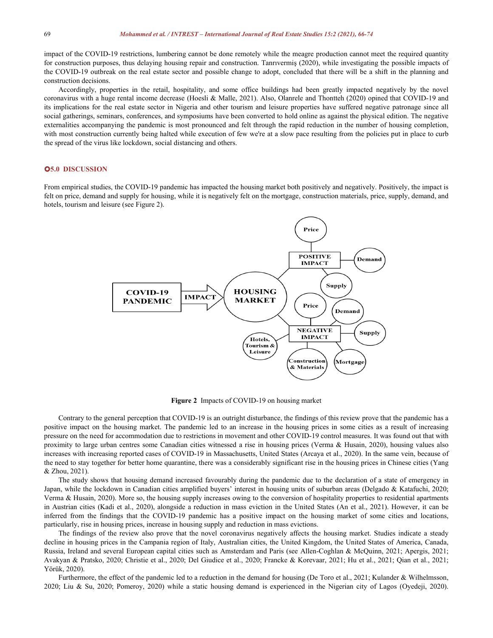impact of the COVID-19 restrictions, lumbering cannot be done remotely while the meagre production cannot meet the required quantity for construction purposes, thus delaying housing repair and construction. Tanrıvermiş (2020), while investigating the possible impacts of the COVID-19 outbreak on the real estate sector and possible change to adopt, concluded that there will be a shift in the planning and construction decisions.

Accordingly, properties in the retail, hospitality, and some office buildings had been greatly impacted negatively by the novel coronavirus with a huge rental income decrease (Hoesli & Malle, 2021). Also, Olanrele and Thontteh (2020) opined that COVID-19 and its implications for the real estate sector in Nigeria and other tourism and leisure properties have suffered negative patronage since all social gatherings, seminars, conferences, and symposiums have been converted to hold online as against the physical edition. The negative externalities accompanying the pandemic is most pronounced and felt through the rapid reduction in the number of housing completion, with most construction currently being halted while execution of few we're at a slow pace resulting from the policies put in place to curb the spread of the virus like lockdown, social distancing and others.

#### **5.0 DISCUSSION**

From empirical studies, the COVID-19 pandemic has impacted the housing market both positively and negatively. Positively, the impact is felt on price, demand and supply for housing, while it is negatively felt on the mortgage, construction materials, price, supply, demand, and hotels, tourism and leisure (see Figure 2).



Figure 2 Impacts of COVID-19 on housing market

Contrary to the general perception that COVID-19 is an outright disturbance, the findings of this review prove that the pandemic has a positive impact on the housing market. The pandemic led to an increase in the housing prices in some cities as a result of increasing pressure on the need for accommodation due to restrictions in movement and other COVID-19 control measures. It was found out that with proximity to large urban centres some Canadian cities witnessed a rise in housing prices (Verma & Husain, 2020), housing values also increases with increasing reported cases of COVID-19 in Massachusetts, United States (Arcaya et al., 2020). In the same vein, because of the need to stay together for better home quarantine, there was a considerably significant rise in the housing prices in Chinese cities (Yang & Zhou, 2021).

The study shows that housing demand increased favourably during the pandemic due to the declaration of a state of emergency in Japan, while the lockdown in Canadian cities amplified buyers' interest in housing units of suburban areas (Delgado & Katafuchi, 2020; Verma & Husain, 2020). More so, the housing supply increases owing to the conversion of hospitality properties to residential apartments in Austrian cities (Kadi et al., 2020), alongside a reduction in mass eviction in the United States (An et al., 2021). However, it can be inferred from the findings that the COVID-19 pandemic has a positive impact on the housing market of some cities and locations, particularly, rise in housing prices, increase in housing supply and reduction in mass evictions.

The findings of the review also prove that the novel coronavirus negatively affects the housing market. Studies indicate a steady decline in housing prices in the Campania region of Italy, Australian cities, the United Kingdom, the United States of America, Canada, Russia, Ireland and several European capital cities such as Amsterdam and Paris (see Allen-Coghlan & McQuinn, 2021; Apergis, 2021; Avakyan & Pratsko, 2020; Christie et al., 2020; Del Giudice et al., 2020; Francke & Korevaar, 2021; Hu etal., 2021; Qian et al., 2021; Yörük, 2020).

Furthermore, the effect of the pandemic led to a reduction in the demand for housing (De Toro et al., 2021; Kulander & Wilhelmsson, 2020; Liu & Su, 2020; Pomeroy, 2020) while a static housing demand is experienced in the Nigerian city of Lagos (Oyedeji, 2020).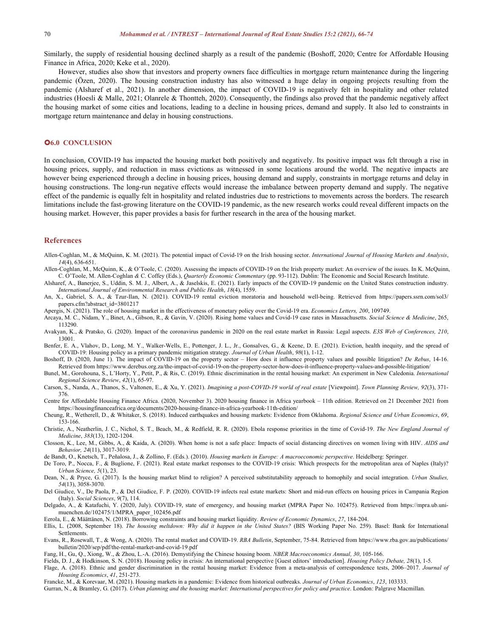Similarly, the supply of residential housing declined sharply as a result of the pandemic (Boshoff, 2020; Centre for Affordable Housing Finance in Africa, 2020; Keke et al., 2020).

However, studies also show that investors and property owners face difficulties in mortgage return maintenance during the lingering pandemic (Özen, 2020). The housing construction industry has also witnessed a huge delay in ongoing projects resulting from the pandemic (Alsharef et al., 2021). In another dimension, the impact of COVID-19 is negatively felt in hospitality and other related industries (Hoesli & Malle, 2021; Olanrele & Thontteh, 2020). Consequently, the findings also proved that the pandemic negatively affect the housing market of some cities and locations, leading to a decline in housing prices, demand and supply. Italso led to constraints in mortgage return maintenance and delay in housing constructions.

#### **6.0 CONCLUSION**

In conclusion, COVID-19 has impacted the housing market both positively and negatively.Its positive impact was felt through a rise in housing prices, supply, and reduction in mass evictions as witnessed in some locations around the world. The negative impacts are however being experienced through a decline in housing prices, housing demand and supply, constraints in mortgage returns and delay in housing constructions. The long-run negative effects would increase the imbalance between property demand and supply. The negative effect of the pandemic is equally felt in hospitality and related industries due to restrictions to movements across the borders. The research limitations include the fast-growing literature on the COVID-19 pandemic, as the new research works could reveal different impacts on the housing market. However, this paper provides a basis for further research in the area of the housing market.

#### **References**

- Allen-Coghlan, M., & McQuinn, K. M. (2021). The potential impact of Covid-19 on the Irish housing sector. *International Journal of Housing Markets and Analysis*, *14*(4), 636-651.
- Allen-Coghlan, M., McQuinn, K., & O'Toole, C. (2020). Assessing the impacts of COVID-19 on the Irish property market: An overview of the issues. In K. McQuinn, C. O'Toole, M. Allen-Coghlan *&* C. Coffey (Eds.), *Quarterly Economic Commentary* (pp. 93-112). Dublin: The Economic and Social Research Institute.
- Alsharef, A., Banerjee, S., Uddin, S. M. J., Albert, A., & Jaselskis, E. (2021). Early impacts of the COVID-19 pandemic on the United States construction industry. *International Journal of Environmental Research and Public Health*, *18*(4), 1559.
- An, X., Gabriel, S. A., & Tzur-Ilan, N. (2021). COVID-19 rental eviction moratoria and household well-being. Retrieved from https://papers.ssrn.com/sol3/ papers.cfm?abstract\_id=3801217
- Apergis, N. (2021). The role of housing market in the effectiveness of monetary policy over the Covid-19 era. *Economics Letters, 200*, 109749.
- Arcaya, M. C., Nidam, Y., Binet, A., Gibson, R., & Gavin, V. (2020). Rising home values and Covid-19 case rates in Massachusetts. *Social Science & Medicine*, 265, 113290.
- Avakyan, K., & Pratsko, G. (2020). Impact of the coronavirus pandemic in 2020 on the real estate market in Russia: Legal aspects. *E3S Web of Conferences, 210*, 13001.
- Benfer, E. A., Vlahov, D., Long, M. Y., Walker-Wells, E., Pottenger, J. L., Jr., Gonsalves, G., & Keene, D. E. (2021). Eviction, health inequity, and the spread of COVID-19: Housing policy as a primary pandemic mitigation strategy. *Journal of Urban Health*, *98*(1), 1-12.
- Boshoff, D. (2020, June 1). The impact of COVID-19 on the property sector How does it influence property values and possible litigation? *De Rebus*, 14-16. Retrieved from https://www.derebus.org.za/the-impact-of-covid-19-on-the-property-sector-how-does-it-influence-property-values-and-possible-litigation/
- Bunel, M., Gorohouna, S., L'Horty, Y., Petit, P., & Ris, C. (2019). Ethnic discrimination in the rental housing market: An experiment in New Caledonia. *International Regional Science Review*, *42*(1), 65-97.
- Carson, S., Nanda, A., Thanos, S., Valtonen, E., & Xu, Y. (2021). Imagining a post-COVID-19 world of real estate [Viewpoint]. Town Planning Review, 92(3), 371-376.
- Centre for Affordable Housing Finance Africa. (2020, November 3). 2020 housing finance in Africa yearbook 11th edition. Retrieved on 21 December 2021 from https://housingfinanceafrica.org/documents/2020-housing-finance-in-africa-yearbook-11th-edition/
- Cheung, R., Wetherell, D., & Whitaker, S. (2018). Induced earthquakes and housing markets: Evidence from Oklahoma. *Regional Science and Urban Economics*, *69*, 153-166.
- Christie, A., Neatherlin, J. C., Nichol, S. T., Beach, M., & Redfield, R. R. (2020). Ebola response priorities in the time of Covid-19. *The New England Journal of Medicine*, *383*(13), 1202-1204.
- Closson, K., Lee, M., Gibbs, A., & Kaida, A. (2020). When home is not a safe place: Impacts of social distancing directives on women living with HIV. *AIDS and Behavior, 24*(11), 3017-3019.
- de Bandt, O., Knetsch, T., Peñalosa, J., & Zollino, F. (Eds.). (2010). *Housing markets in Europe: A macroeconomic perspective*. Heidelberg: Springer.
- De Toro, P., Nocca, F., & Buglione, F. (2021). Real estate market responses to the COVID-19 crisis: Which prospects for the metropolitan area of Naples (Italy)? *Urban Science, 5*(1), 23.
- Dean, N., & Pryce, G. (2017). Is the housing market blind to religion? A perceived substitutability approach to homophily and social integration. *Urban Studies, 54*(13), 3058-3070.
- Del Giudice, V., De Paola, P., & Del Giudice, F. P. (2020). COVID-19 infects real estate markets: Short and mid-run effects on housing prices in Campania Region (Italy). *Social Sciences*, *9*(7), 114.
- Delgado, A., & Katafuchi, Y. (2020, July). COVID-19, state of emergency, and housing market (MPRA Paper No. 102475). Retrieved from https://mpra.ub.uni muenchen.de/102475/1/MPRA\_paper\_102456.pdf
- Eerola, E., & Määttänen, N. (2018). Borrowing constraints and housing market liquidity. *Review of Economic Dynamics*, *27*, 184-204.
- Ellis, L. (2008, September 18). The housing meltdown: Why did it happen in the United States? (BIS Working Paper No. 259). Basel: Bank for International Settlements.
- Evans, R., Rosewall, T., & Wong, A. (2020). The rental market and COVID-19. *RBA Bulletin*, September, 75-84. Retrieved from https://www.rba.gov.au/publications/ bulletin/2020/sep/pdf/the-rental-market-and-covid-19.pdf
- Fang, H., Gu, Q., Xiong, W., & Zhou, L.-A. (2016). Demystifying the Chinese housing boom. *NBER Macroeconomics Annual, 30*, 105-166.
- Fields, D. J., & Hodkinson, S. N. (2018). Housing policy in crisis: An international perspective [Guest editors' introduction]. *Housing Policy Debate, 28*(1), 1-5.
- Flage, A. (2018). Ethnic and gender discrimination in the rental housing market: Evidence from a meta-analysis of correspondence tests, 2006-2017. *Journal of Housing Economics*, *41*, 251-273.
- Francke, M., & Korevaar, M. (2021). Housing markets in a pandemic: Evidence from historical outbreaks. *Journal of Urban Economics*, *123*, 103333.
- Gurran, N., & Bramley, G. (2017). Urban planning and the housing market: International perspectives for policy and practice. London: Palgrave Macmillan.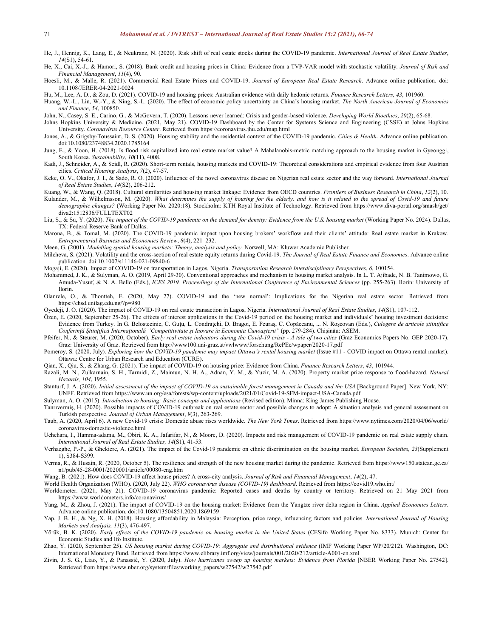- He, J., Hennig, K., Lang, E., & Neukranz, N. (2020). Risk shift of real estate stocks during the COVID-19 pandemic. *International Journal of Real Estate Studies*, *14*(S1), 54-61.
- He, X., Cai, X.-J., & Hamori, S. (2018). Bank credit and housing prices in China: Evidence from a TVP-VAR model with stochastic volatility. *Journal of Risk and Financial Management*, *11*(4), 90.
- Hoesli, M., & Malle, R. (2021). Commercial Real Estate Prices and COVID-19. *Journal of European Real Estate Research*. Advance online publication. doi: 10.1108/JERER-04-2021-0024
- Hu, M., Lee, A. D., & Zou, D. (2021). COVID-19 and housing prices: Australian evidence with daily hedonic returns. *Finance Research Letters, 43*, 101960.

Huang, W.-L., Lin, W.-Y., & Ning, S.-L. (2020). The effect of economic policy uncertainty on China's housing market. *The North American Journal of Economics and Finance*, *54*, 100850.

- John, N., Casey, S. E., Carino, G., & McGovern, T. (2020). Lessons never learned: Crisis and gender‐based violence. *Developing World Bioethics*, *20*(2), 65-68.
- Johns Hopkins University & Medicine. (2021, May 21). COVID-19 Dashboard by the Center for Systems Science and Engineering (CSSE) at Johns Hopkins University. *Coronavirus Resource Center*. Retrieved from https://coronavirus.jhu.edu/map.html
- Jones, A., & Grigsby-Toussaint, D. S. (2020). Housing stability and the residential context of the COVID-19 pandemic. *Cities & Health*. Advance online publication. doi:10.1080/23748834.2020.1785164
- Jung, E., & Yoon, H. (2018). Is flood risk capitalized into real estate market value? A Mahalanobis-metric matching approach to the housing market in Gyeonggi, South Korea. *Sustainability*, *10*(11), 4008.
- Kadi, J., Schneider, A., & Seidl, R. (2020). Short-term rentals, housing markets and COVID-19: Theoretical considerations and empirical evidence from four Austrian cities. *Critical Housing Analysis*, *7*(2), 47-57.
- Keke, O. V., Okafor, J. I., & Sado, R. O. (2020). Influence of the novel coronavirus disease on Nigerian real estate sector and the way forward. *International Journal of Real Estate Studies*, *14*(S2), 206-212.
- Kuang, W., & Wang, Q. (2018). Cultural similarities and housing market linkage: Evidence from OECD countries. *Frontiers of Business Research in China*, *12*(2), 10.
- Kulander, M., & Wilhelmsson, M. (2020). What determines the supply of housing for the elderly, and how is it related to the spread of Covid-19 and future *demographic changes?* (Working Paper No. 2020:18). Stockholm: KTH Royal Institute of Technology. Retrieved from https://www.diva-portal.org/smash/get/ diva2:1512836/FULLTEXT02
- Liu, S., & Su, Y. (2020). The impact of the COVID-19 pandemic on the demand for density: Evidence from the U.S. housing market (Working Paper No. 2024). Dallas, TX: Federal Reserve Bank of Dallas.
- Marona, B., & Tomal, M. (2020). The COVID-19 pandemic impact upon housing brokers' workflow and their clients' attitude: Real estate market in Krakow. *Entrepreneurial Business and Economics Review*, *8*(4), 221–232.
- Meen, G. (2001). *Modelling spatial housing markets: Theory, analysis and policy*. Norwell, MA: Kluwer Academic Publisher.
- Milcheva, S. (2021). Volatility and the cross-section of real estate equity returns during Covid-19. *The Journal of Real Estate Finance and Economics*. Advance online publication. doi:10.1007/s11146-021-09840-6
- Mogaji, E. (2020). Impact of COVID-19 on transportation in Lagos, Nigeria. *Transportation Research Interdisciplinary Perspectives*, *6*, 100154.
- Mohammed, J. K., & Sulyman, A. O. (2019, April 29-30). Conventional approaches and mechanism to housing market analysis. In L. T. Ajibade, N. B. Tanimowo, G. Amuda-Yusuf, & N. A. Bello (Eds.), *ICES 2019. Proceedings of the International Conference of Environmental Sciences* (pp. 255-263). Ilorin: University of Ilorin.
- Olanrele, O., & Thontteh, E. (2020, May 27). COVID-19 and the 'new normal': Implications for the Nigerian real estate sector. Retrieved from https://chsd.unilag.edu.ng/?p=980
- Oyedeji, J. O. (2020). The impact of COVID-19 on real estate transaction in Lagos, Nigeria. *International Journal of Real Estate Studies*, *14*(S1), 107-112.
- Özen, E. (2020, September 25-26). The effects of interest applications in the Covid-19 period on the housing market and individuals' housing investment decisions: Evidence from Turkey. In G. Belostecinic, C. Guţu, L. Condraţchi, D. Bragoi, E. Feuraş, C. Copăceanu, ... N. Roşcovan (Eds.), *Culegere de articole ştiinţifice Conferinţă Ştiinţifică Internaţională "Competitivitate şi Inovare în Economia Cunoaşterii"* (pp. 279-284). Chişinău: ASEM.
- Pfeifer, N., & Steurer, M. (2020, October). Early real estate indicators during the Covid-19 crisis A tale of two cities (Graz Economics Papers No. GEP 2020-17). Graz: University of Graz. Retrieved from http://www100.uni-graz.at/vwlwww/forschung/RePEc/wpaper/2020-17.pdf
- Pomeroy, S. (2020, July). Exploring how the COVID-19 pandemic may impact Ottawa's rental housing market (Issue #11 COVID impact on Ottawa rental market). Ottawa: Centre for Urban Research and Education (CURE).
- Qian, X., Qiu, S., & Zhang, G. (2021). The impact of COVID-19 on housing price: Evidence from China. *Finance Research Letters*, *43*,101944.
- Razali, M. N., Zulkarnain, S. H., Tarmidi, Z., Maimun, N. H. A., Adnan, Y. M., & Yuzir, M. A. (2020). Property market price response to flood-hazard. *Natural Hazards, 104*, 1955.
- Stanturf, J. A. (2020). Initial assessment of the impact of COVID-19 on sustainable forest management in Canada and the USA [Background Paper]. New York, NY: UNFF. Retrieved from https://www.un.org/esa/forests/wp-content/uploads/2021/01/Covid-19-SFM-impact-USA-Canada.pdf

Sulyman, A. O. (2015). *Introduction to housing: Basic concepts and applications* (Revised edition). Minna: King James Publishing House.

- Tanrıvermiş, H. (2020). Possible impacts of COVID-19 outbreak on real estate sector and possible changes to adopt: A situation analysis and general assessment on Turkish perspective. *Journal of Urban Management*, *9*(3), 263-269.
- Taub, A. (2020, April 6). A new Covid-19 crisis: Domestic abuse rises worldwide. *The New York Times*. Retrieved from https://www.nytimes.com/2020/04/06/world/ coronavirus-domestic-violence.html
- Uchehara, I., Hamma-adama, M., Obiri, K. A., Jafarifar, N., & Moore, D. (2020). Impacts and risk management of COVID-19 pandemic on real estate supply chain. *International Journal of Real Estate Studies, 14*(S1), 41-53.
- Verhaeghe, P.-P., & Ghekiere, A. (2021). The impact of the Covid-19 pandemic on ethnic discrimination on the housing market. *European Societies, 23*(Supplement 1), S384-S399.
- Verma, R., & Husain, R. (2020, October 5). The resilience and strength of the new housing market during the pandemic. Retrieved from https://www150.statcan.gc.ca/ n1/pub/45-28-0001/2020001/article/00080-eng.htm
- Wang, B. (2021). How does COVID-19 affect house prices? A cross-city analysis. *Journal of Risk and Financial Management*, *14*(2), 47.
- World Health Organization (WHO). (2020, July 22). *WHO coronavirus disease (COVID-19) dashboard*. Retrieved from https://covid19.who.int/
- Worldometer. (2021, May 21). COVID-19 coronavirus pandemic: Reported cases and deaths by country or territory. Retrieved on 21 May 2021 from https://www.worldometers.info/coronavirus/
- Yang, M., & Zhou, J. (2021). The impact of COVID-19 on the housing market: Evidence from the Yangtze river delta region in China. *Applied Economics Letters*. Advance online publication. doi:10.1080/13504851.2020.1869159
- Yap, J. B. H., & Ng, X. H. (2018). Housing affordability in Malaysia: Perception, price range, influencing factors and policies. *International Journal of Housing Markets and Analysis, 11*(3), 476-497.
- Yörük, B. K. (2020). Early effects of the COVID-19 pandemic on housing market in the United States (CESifo Working Paper No. 8333). Munich: Center for Economic Studies and Ifo Institute.
- Zhao, Y. (2020, September 25). *US housing market during COVID-19: Aggregate and distributional evidence* (IMF Working Paper WP/20/212). Washington, DC: International Monetary Fund. Retrieved from https://www.elibrary.imf.org/view/journals/001/2020/212/article-A001-en.xml
- Zivin, J. S. G., Liao, Y., & Panassié, Y. (2020, July). *How hurricanes sweep up housing markets: Evidence from Florida* [NBER Working Paper No. 27542]. Retrieved from https://www.nber.org/system/files/working\_papers/w27542/w27542.pdf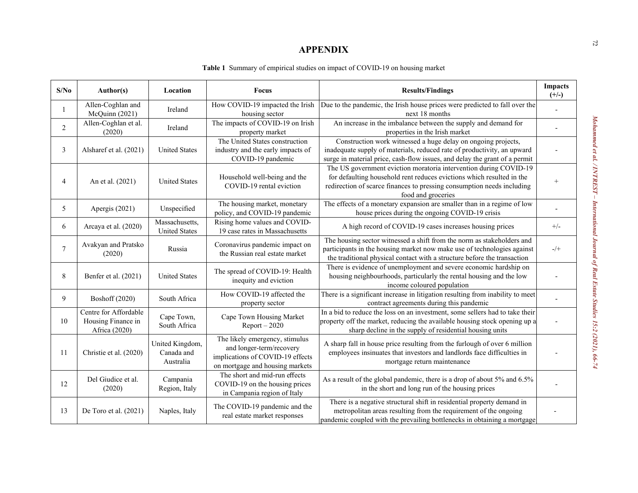### **APPENDIX**

|  | <b>Table 1</b> Summary of empirical studies on impact of COVID-19 on housing market |  |
|--|-------------------------------------------------------------------------------------|--|
|  |                                                                                     |  |

| S/No           | Author(s)                                                    | Location                                   | Focus                                                                                                                             | <b>Results/Findings</b>                                                                                                                                                                                                                    | <b>Impacts</b><br>$(+/-)$                  |
|----------------|--------------------------------------------------------------|--------------------------------------------|-----------------------------------------------------------------------------------------------------------------------------------|--------------------------------------------------------------------------------------------------------------------------------------------------------------------------------------------------------------------------------------------|--------------------------------------------|
|                | Allen-Coghlan and<br>McQuinn (2021)                          | Ireland                                    | How COVID-19 impacted the Irish<br>housing sector                                                                                 | Due to the pandemic, the Irish house prices were predicted to fall over the<br>next 18 months                                                                                                                                              | $\overline{a}$                             |
| $\overline{2}$ | Allen-Coghlan et al.<br>(2020)                               | Ireland                                    | The impacts of COVID-19 on Irish<br>property market                                                                               | An increase in the imbalance between the supply and demand for<br>properties in the Irish market                                                                                                                                           |                                            |
| 3              | Alsharef et al. (2021)                                       | <b>United States</b>                       | The United States construction<br>industry and the early impacts of<br>COVID-19 pandemic                                          | Construction work witnessed a huge delay on ongoing projects,<br>inadequate supply of materials, reduced rate of productivity, an upward<br>surge in material price, cash-flow issues, and delay the grant of a permit                     |                                            |
| 4              | An et al. (2021)                                             | <b>United States</b>                       | Household well-being and the<br>COVID-19 rental eviction                                                                          | The US government eviction moratoria intervention during COVID-19<br>for defaulting household rent reduces evictions which resulted in the<br>redirection of scarce finances to pressing consumption needs including<br>food and groceries | $\overline{+}$                             |
| 5              | Apergis (2021)                                               | Unspecified                                | The housing market, monetary<br>policy, and COVID-19 pandemic                                                                     | The effects of a monetary expansion are smaller than in a regime of low<br>house prices during the ongoing COVID-19 crisis                                                                                                                 |                                            |
| 6              | Arcaya et al. (2020)                                         | Massachusetts,<br><b>United States</b>     | Rising home values and COVID-<br>19 case rates in Massachusetts                                                                   | A high record of COVID-19 cases increases housing prices                                                                                                                                                                                   | $+/-$                                      |
| $\tau$         | Avakyan and Pratsko<br>(2020)                                | Russia                                     | Coronavirus pandemic impact on<br>the Russian real estate market                                                                  | The housing sector witnessed a shift from the norm as stakeholders and<br>participants in the housing market now make use of technologies against<br>the traditional physical contact with a structure before the transaction              | $\mathord{\text{--}\!}/\mathord{\text{+}}$ |
| 8              | Benfer et al. (2021)                                         | <b>United States</b>                       | The spread of COVID-19: Health<br>inequity and eviction                                                                           | There is evidence of unemployment and severe economic hardship on<br>housing neighbourhoods, particularly the rental housing and the low<br>income coloured population                                                                     |                                            |
| 9              | <b>Boshoff</b> (2020)                                        | South Africa                               | How COVID-19 affected the<br>property sector                                                                                      | There is a significant increase in litigation resulting from inability to meet<br>contract agreements during this pandemic                                                                                                                 |                                            |
| 10             | Centre for Affordable<br>Housing Finance in<br>Africa (2020) | Cape Town,<br>South Africa                 | Cape Town Housing Market<br>$Report - 2020$                                                                                       | In a bid to reduce the loss on an investment, some sellers had to take their<br>property off the market, reducing the available housing stock opening up a<br>sharp decline in the supply of residential housing units                     |                                            |
| 11             | Christie et al. (2020)                                       | United Kingdom,<br>Canada and<br>Australia | The likely emergency, stimulus<br>and longer-term/recovery<br>implications of COVID-19 effects<br>on mortgage and housing markets | A sharp fall in house price resulting from the furlough of over 6 million<br>employees insinuates that investors and landlords face difficulties in<br>mortgage return maintenance                                                         |                                            |
| 12             | Del Giudice et al.<br>(2020)                                 | Campania<br>Region, Italy                  | The short and mid-run effects<br>COVID-19 on the housing prices<br>in Campania region of Italy                                    | As a result of the global pandemic, there is a drop of about 5% and 6.5%<br>in the short and long run of the housing prices                                                                                                                |                                            |
| 13             | De Toro et al. (2021)                                        | Naples, Italy                              | The COVID-19 pandemic and the<br>real estate market responses                                                                     | There is a negative structural shift in residential property demand in<br>metropolitan areas resulting from the requirement of the ongoing<br>pandemic coupled with the prevailing bottlenecks in obtaining a mortgage                     |                                            |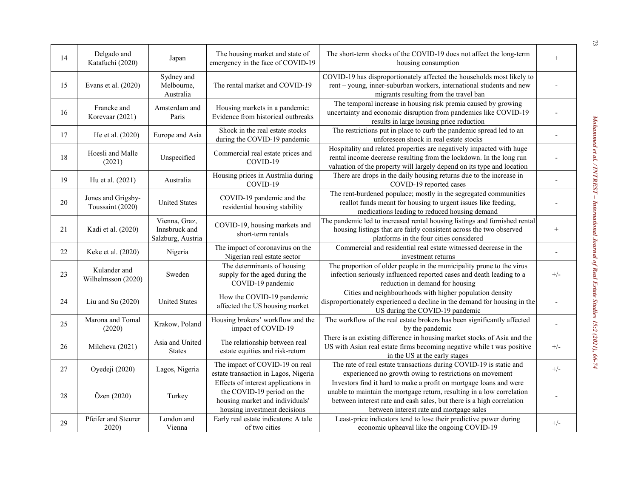| 14 | Delgado and<br>Katafuchi (2020)        | Japan                                               | The housing market and state of<br>emergency in the face of COVID-19                                                                 | The short-term shocks of the COVID-19 does not affect the long-term<br>housing consumption                                                                                                                                                                        | $^{+}$   |
|----|----------------------------------------|-----------------------------------------------------|--------------------------------------------------------------------------------------------------------------------------------------|-------------------------------------------------------------------------------------------------------------------------------------------------------------------------------------------------------------------------------------------------------------------|----------|
| 15 | Evans et al. (2020)                    | Sydney and<br>Melbourne,<br>Australia               | The rental market and COVID-19                                                                                                       | COVID-19 has disproportionately affected the households most likely to<br>rent - young, inner-suburban workers, international students and new<br>migrants resulting from the travel ban                                                                          |          |
| 16 | Francke and<br>Korevaar (2021)         | Amsterdam and<br>Paris                              | Housing markets in a pandemic:<br>Evidence from historical outbreaks                                                                 | The temporal increase in housing risk premia caused by growing<br>uncertainty and economic disruption from pandemics like COVID-19<br>results in large housing price reduction                                                                                    |          |
| 17 | He et al. (2020)                       | Europe and Asia                                     | Shock in the real estate stocks<br>during the COVID-19 pandemic                                                                      | The restrictions put in place to curb the pandemic spread led to an<br>unforeseen shock in real estate stocks                                                                                                                                                     |          |
| 18 | Hoesli and Malle<br>(2021)             | Unspecified                                         | Commercial real estate prices and<br>COVID-19                                                                                        | Hospitality and related properties are negatively impacted with huge<br>rental income decrease resulting from the lockdown. In the long run<br>valuation of the property will largely depend on its type and location                                             |          |
| 19 | Hu et al. (2021)                       | Australia                                           | Housing prices in Australia during<br>COVID-19                                                                                       | There are drops in the daily housing returns due to the increase in<br>COVID-19 reported cases                                                                                                                                                                    | $\sim$   |
| 20 | Jones and Grigsby-<br>Toussaint (2020) | <b>United States</b>                                | COVID-19 pandemic and the<br>residential housing stability                                                                           | The rent-burdened populace; mostly in the segregated communities<br>reallot funds meant for housing to urgent issues like feeding,<br>medications leading to reduced housing demand                                                                               |          |
| 21 | Kadi et al. (2020)                     | Vienna, Graz,<br>Innsbruck and<br>Salzburg, Austria | COVID-19, housing markets and<br>short-term rentals                                                                                  | The pandemic led to increased rental housing listings and furnished rental<br>housing listings that are fairly consistent across the two observed<br>platforms in the four cities considered                                                                      | $^{+}$   |
| 22 | Keke et al. (2020)                     | Nigeria                                             | The impact of coronavirus on the<br>Nigerian real estate sector                                                                      | Commercial and residential real estate witnessed decrease in the<br>investment returns                                                                                                                                                                            |          |
| 23 | Kulander and<br>Wilhelmsson (2020)     | Sweden                                              | The determinants of housing<br>supply for the aged during the<br>COVID-19 pandemic                                                   | The proportion of older people in the municipality prone to the virus<br>infection seriously influenced reported cases and death leading to a<br>reduction in demand for housing                                                                                  | $^{+/-}$ |
| 24 | Liu and Su $(2020)$                    | <b>United States</b>                                | How the COVID-19 pandemic<br>affected the US housing market                                                                          | Cities and neighbourhoods with higher population density<br>disproportionately experienced a decline in the demand for housing in the<br>US during the COVID-19 pandemic                                                                                          |          |
| 25 | Marona and Tomal<br>(2020)             | Krakow, Poland                                      | Housing brokers' workflow and the<br>impact of COVID-19                                                                              | The workflow of the real estate brokers has been significantly affected<br>by the pandemic                                                                                                                                                                        |          |
| 26 | Milcheva (2021)                        | Asia and United<br><b>States</b>                    | The relationship between real<br>estate equities and risk-return                                                                     | There is an existing difference in housing market stocks of Asia and the<br>US with Asian real estate firms becoming negative while t was positive<br>in the US at the early stages                                                                               | $+/-$    |
| 27 | Oyedeji (2020)                         | Lagos, Nigeria                                      | The impact of COVID-19 on real<br>estate transaction in Lagos, Nigeria                                                               | The rate of real estate transactions during COVID-19 is static and<br>experienced no growth owing to restrictions on movement                                                                                                                                     | $+/-$    |
| 28 | Özen (2020)                            | Turkey                                              | Effects of interest applications in<br>the COVID-19 period on the<br>housing market and individuals'<br>housing investment decisions | Investors find it hard to make a profit on mortgage loans and were<br>unable to maintain the mortgage return, resulting in a low correlation<br>between interest rate and cash sales, but there is a high correlation<br>between interest rate and mortgage sales |          |
| 29 | Pfeifer and Steurer<br>2020            | London and<br>Vienna                                | Early real estate indicators: A tale<br>of two cities                                                                                | Least-price indicators tend to lose their predictive power during<br>economic upheaval like the ongoing COVID-19                                                                                                                                                  | $+/-$    |